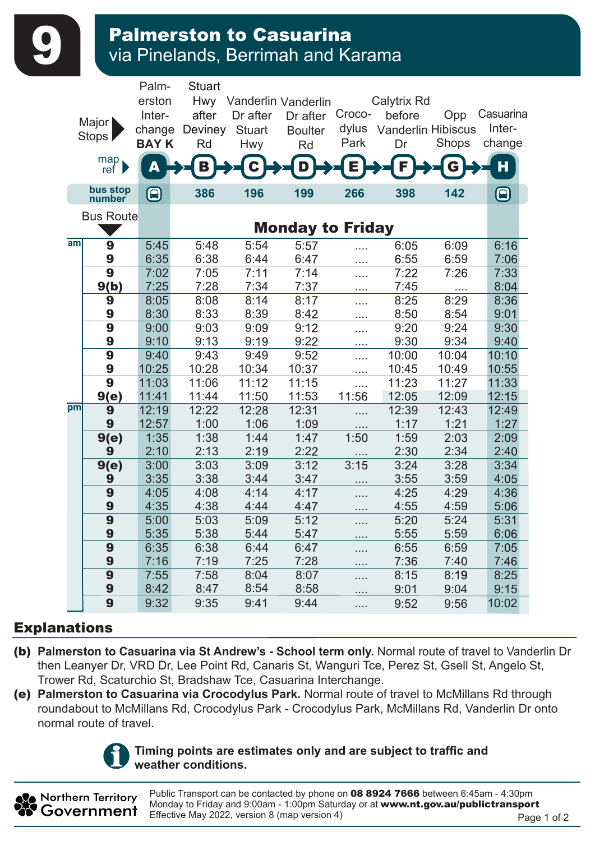Palmerston to Casuarina<br>via Pinelands, Berrimah and Karama

|    | Major  <br>Stops  <br>map<br>ref<br>bus stop | Palm-<br>erston<br>Inter-<br>change<br><b>BAYK</b> | <b>Stuart</b><br>Hwy<br>after<br>Deviney<br>Rd<br>В | Dr after<br><b>Stuart</b><br><b>Hwy</b> | Vanderlin Vanderlin<br>Dr after<br><b>Boulter</b><br>Rd<br>D | Croco-<br>dylus<br>Park<br>Е | Calytrix Rd<br>before<br><b>Vanderlin Hibiscus</b><br>Dr | Opp<br>Shops<br>G | Casuarina<br>Inter-<br>change<br>H |  |  |  |
|----|----------------------------------------------|----------------------------------------------------|-----------------------------------------------------|-----------------------------------------|--------------------------------------------------------------|------------------------------|----------------------------------------------------------|-------------------|------------------------------------|--|--|--|
|    | number                                       | $\boldsymbol{\mathbf{\Theta}}$                     | 386                                                 | 196                                     | 199                                                          | 266                          | 398                                                      | 142               | $\bm\bm\Xi$                        |  |  |  |
|    | <b>Bus Route</b>                             |                                                    |                                                     |                                         |                                                              |                              |                                                          |                   |                                    |  |  |  |
|    |                                              |                                                    | <b>Monday to Friday</b>                             |                                         |                                                              |                              |                                                          |                   |                                    |  |  |  |
| am | 9                                            | 5:45                                               | 5:48                                                | 5:54                                    | 5:57                                                         | .                            | 6:05                                                     | 6:09              | 6:16                               |  |  |  |
|    | 9                                            | 6:35                                               | 6:38                                                | 6:44                                    | 6:47                                                         | .                            | 6:55                                                     | 6:59              | 7:06                               |  |  |  |
|    | 9                                            | 7:02                                               | 7:05                                                | 7:11                                    | 7:14                                                         | .                            | 7:22                                                     | 7:26              | 7:33                               |  |  |  |
|    | 9(b)                                         | 7:25                                               | 7:28                                                | 7:34                                    | 7:37                                                         | .                            | 7:45                                                     | $\cdots$          | 8:04                               |  |  |  |
|    | 9                                            | 8:05                                               | 8:08                                                | 8:14                                    | 8:17                                                         | .                            | 8:25                                                     | 8:29              | 8:36                               |  |  |  |
|    | 9                                            | 8:30                                               | 8:33                                                | 8:39                                    | 8:42                                                         | .                            | 8:50                                                     | 8:54              | 9:01                               |  |  |  |
|    | 9                                            | 9:00                                               | 9:03                                                | 9:09                                    | 9:12                                                         | .                            | 9:20                                                     | 9:24              | 9:30                               |  |  |  |
|    | 9                                            | 9:10                                               | 9:13                                                | 9:19                                    | 9:22                                                         | .                            | 9:30                                                     | 9:34              | 9:40                               |  |  |  |
|    | 9                                            | 9:40                                               | 9:43                                                | 9:49                                    | 9:52                                                         | .                            | 10:00                                                    | 10:04             | 10:10                              |  |  |  |
|    | 9                                            | 10:25                                              | 10:28                                               | 10:34                                   | 10:37                                                        | $\cdots$                     | 10:45                                                    | 10:49             | 10:55                              |  |  |  |
|    | $\overline{9}$                               | 11:03                                              | 11:06                                               | 11:12                                   | 11:15                                                        | .                            | 11:23                                                    | 11:27             | 11:33                              |  |  |  |
| pm | 9(e)                                         | 11:41                                              | 11:44                                               | 11:50                                   | 11:53                                                        | 11:56                        | 12:05                                                    | 12:09             | 12:15                              |  |  |  |
|    | 9                                            | 12:19                                              | 12:22                                               | 12:28                                   | 12:31                                                        | .                            | 12:39                                                    | 12:43             | 12:49                              |  |  |  |
|    | 9                                            | 12:57                                              | 1:00                                                | 1:06                                    | 1:09                                                         |                              | 1:17                                                     | 1:21              | 1:27                               |  |  |  |
|    | 9(e)                                         | 1:35                                               | 1:38                                                | 1:44                                    | 1:47                                                         | 1:50                         | 1:59                                                     | 2:03              | 2:09                               |  |  |  |
|    | 9                                            | 2:10                                               | 2:13                                                | 2:19<br>3:09                            | 2:22<br>3:12                                                 | 3:15                         | 2:30<br>3:24                                             | 2:34<br>3:28      | 2:40                               |  |  |  |
|    | 9(e)<br>9                                    | 3:00<br>3:35                                       | 3:03<br>3:38                                        | 3:44                                    | 3:47                                                         |                              | 3:55                                                     | 3:59              | 3:34<br>4:05                       |  |  |  |
|    | 9                                            | 4:05                                               | 4:08                                                | 4:14                                    | 4:17                                                         | .                            | 4:25                                                     | 4:29              | 4:36                               |  |  |  |
|    | 9                                            | 4:35                                               | 4:38                                                | 4:44                                    | 4:47                                                         | .                            | 4:55                                                     | 4:59              | 5:06                               |  |  |  |
|    | 9                                            | 5:00                                               | 5:03                                                | 5:09                                    | 5:12                                                         |                              | 5:20                                                     | 5:24              | 5:31                               |  |  |  |
|    | 9                                            | 5:35                                               | 5:38                                                | 5:44                                    | 5:47                                                         |                              | 5:55                                                     | 5:59              | 6:06                               |  |  |  |
|    | 9                                            | 6:35                                               | 6:38                                                | 6:44                                    | 6:47                                                         | .                            | 6:55                                                     | 6:59              | 7:05                               |  |  |  |
|    | 9                                            | 7:16                                               | 7:19                                                | 7:25                                    | 7:28                                                         | .                            | 7:36                                                     | 7:40              | 7:46                               |  |  |  |
|    | 9                                            | 7:55                                               | 7:58                                                | 8:04                                    | 8:07                                                         | .                            | 8:15                                                     | 8:19              | 8:25                               |  |  |  |
|    | 9                                            | 8:42                                               | 8:47                                                | 8:54                                    | 8:58                                                         | .                            | 9:01                                                     | 9:04              | 9:15                               |  |  |  |
|    | 9                                            | 9:32                                               | 9:35                                                | 9:41                                    | 9:44                                                         | .<br>.                       | 9:52                                                     | 9:56              | 10:02                              |  |  |  |

## Explanations

- (b) **Palmerston to Casuarina via St Andrew's School term only.** Normal route of travel to Vanderlin Dr then Leanyer Dr, VRD Dr, Lee Point Rd, Canaris St, Wanguri Tce, Perez St, Gsell St, Angelo St, Trower Rd, Scaturchio St, Bradshaw Tce, Casuarina Interchange.
- (e) **Palmerston to Casuarina via Crocodylus Park.** Normal route of travel to McMillans Rd through roundabout to McMillans Rd, Crocodylus Park - Crocodylus Park, McMillans Rd, Vanderlin Dr onto normal route of travel.



Northern Territory Government

## Timing points are estimates only and are subject to traffic and **weather conditions.**

Public Transport can be contacted by phone on 08 8924 7666 between 6:45am - 4:30pm Monday to Friday and 9:00am - 1:00pm Saturday or at www.nt.gov.au/publictransport Effective May 2022, version 8 (map version 4) Page 1 of 2